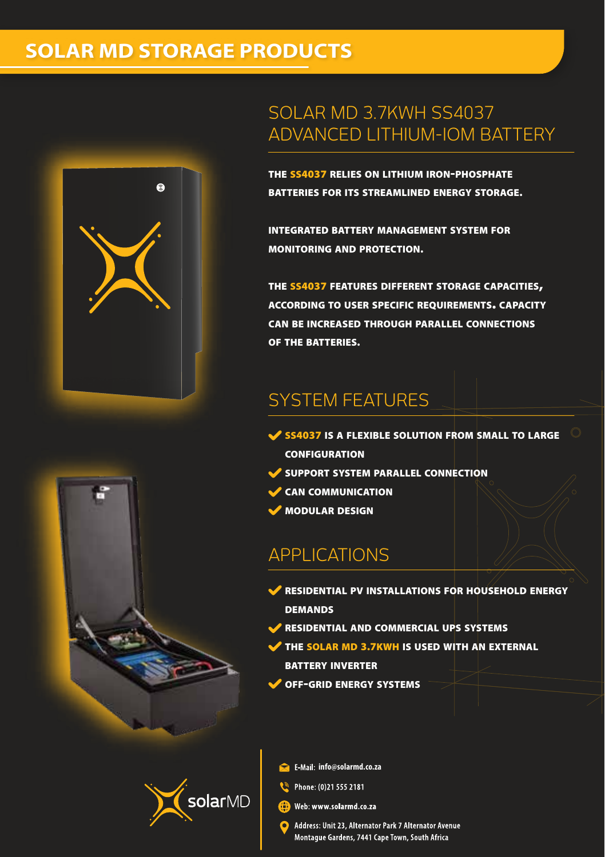# **SOLAR MD STORAGE PRODUCTS**



## SOLAR MD 3.7KWH SS4037 ADVANCED LITHIUM-IOM BATTERY

THE SS4037 RELIES ON LITHIUM IRON-PHOSPHATE BATTERIES FOR ITS STREAMLINED ENERGY STORAGE.

INTEGRATED BATTERY MANAGEMENT SYSTEM FOR MONITORING AND PROTECTION.

THE SS4037 FEATURES DIFFERENT STORAGE CAPACITIES, ACCORDING TO USER SPECIFIC REQUIREMENTS. CAPACITY CAN BE INCREASED THROUGH PARALLEL CONNECTIONS OF THE BATTERIES.

# SYSTEM FEATURES

- SS4037 IS A FLEXIBLE SOLUTION FROM SMALL TO LARGE CONFIGURATION
- SUPPORT SYSTEM PARALLEL CONNECTION
- **CAN COMMUNICATION**
- MODULAR DESIGN

## APPLICATIONS

- **EXIDENTIAL PV INSTALLATIONS FOR HOUSEHOLD ENERGY DEMANDS**
- RESIDENTIAL AND COMMERCIAL UPS SYSTEMS
- THE SOLAR MD 3.7KWH IS USED WITH AN EXTERNAL BATTERY INVERTER
- OFF-GRID ENERGY SYSTEMS



- **info@solarmd.co.za**
- Phone: (0)21 555 2181
- Web: www.solarmd.co.za
- Address: Unit 23, Alternator Park 7 Alternator Avenue Montague Gardens, 7441 Cape Town, South Africa